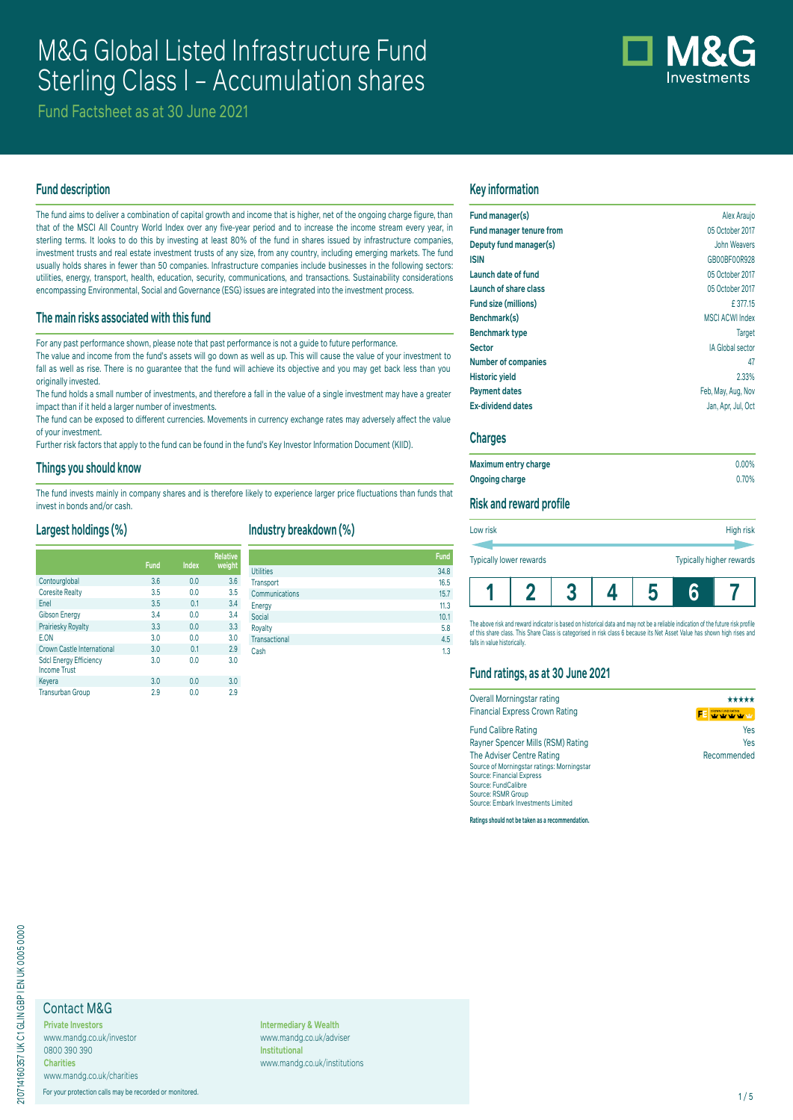# M&G Global Listed Infrastructure Fund Sterling Class I – Accumulation shares



Fund Factsheet as at 30 June 2021

## **Fund description**

The fund aims to deliver a combination of capital growth and income that is higher, net of the ongoing charge figure, than that of the MSCI All Country World Index over any five-year period and to increase the income stream every year, in sterling terms. It looks to do this by investing at least 80% of the fund in shares issued by infrastructure companies, investment trusts and real estate investment trusts of any size, from any country, including emerging markets. The fund usually holds shares in fewer than 50 companies. Infrastructure companies include businesses in the following sectors: utilities, energy, transport, health, education, security, communications, and transactions. Sustainability considerations encompassing Environmental, Social and Governance (ESG) issues are integrated into the investment process.

## **The main risks associated with this fund**

For any past performance shown, please note that past performance is not a guide to future performance.

The value and income from the fund's assets will go down as well as up. This will cause the value of your investment to fall as well as rise. There is no guarantee that the fund will achieve its objective and you may get back less than you originally invested.

The fund holds a small number of investments, and therefore a fall in the value of a single investment may have a greater impact than if it held a larger number of investments.

The fund can be exposed to different currencies. Movements in currency exchange rates may adversely affect the value of your investment.

Further risk factors that apply to the fund can be found in the fund's Key Investor Information Document (KIID).

#### **Things you should know**

The fund invests mainly in company shares and is therefore likely to experience larger price fluctuations than funds that invest in bonds and/or cash.

## **Largest holdings (%)**

|                                                      | Fund | <b>Index</b> | <b>Relative</b><br>weight |
|------------------------------------------------------|------|--------------|---------------------------|
| Contourglobal                                        | 3.6  | 0.0          | 3.6                       |
| <b>Coresite Realty</b>                               | 3.5  | 0.0          | 3.5                       |
| Enel                                                 | 3.5  | 0.1          | 3.4                       |
| <b>Gibson Energy</b>                                 | 3.4  | 0.0          | 3.4                       |
| Prairiesky Royalty                                   | 3.3  | 0.0          | 3.3                       |
| E.ON                                                 | 3.0  | 0.0          | 3.0                       |
| Crown Castle International                           | 3.0  | 0.1          | 2.9                       |
| <b>Sdcl Energy Efficiency</b><br><b>Income Trust</b> | 3.0  | 0.0          | 3.0                       |
| Keyera                                               | 3.0  | 0.0          | 3.0                       |
| <b>Transurban Group</b>                              | 2.9  | 0.0          | 2.9                       |

# **Industry breakdown (%)**

| Relative |                  | <b>Fund</b> |
|----------|------------------|-------------|
| weight   | <b>Utilities</b> | 34.8        |
| 3.6      | Transport        | 16.5        |
| 3.5      | Communications   | 15.7        |
| 3.4      | Energy           | 11.3        |
| 3.4      | Social           | 10.1        |
| 3.3      | Royalty          | 5.8         |
| 3.0      | Transactional    | 4.5         |
| 2.9      | Cash             | 1.3         |
| $\Omega$ |                  |             |

#### **Key information**

| Fund manager(s)            | Alex Araujo             |
|----------------------------|-------------------------|
| Fund manager tenure from   | 05 October 2017         |
| Deputy fund manager(s)     | John Weavers            |
| <b>ISIN</b>                | GB00BF00R928            |
| Launch date of fund        | 05 October 2017         |
| Launch of share class      | 05 October 2017         |
| Fund size (millions)       | £377.15                 |
| Benchmark(s)               | <b>MSCI ACWI Index</b>  |
| <b>Benchmark type</b>      | <b>Target</b>           |
| <b>Sector</b>              | <b>IA Global sector</b> |
| <b>Number of companies</b> | 47                      |
| <b>Historic yield</b>      | 2.33%                   |
| <b>Payment dates</b>       | Feb, May, Aug, Nov      |
| <b>Ex-dividend dates</b>   | Jan, Apr, Jul, Oct      |
|                            |                         |

#### **Charges**

| Maximum entry charge | $0.00\%$ |
|----------------------|----------|
| Ongoing charge       | 0.70%    |

#### **Risk and reward profile**

| Low risk<br><b>Typically lower rewards</b> |  | High risk<br>Typically higher rewards |  |  |  |
|--------------------------------------------|--|---------------------------------------|--|--|--|
|                                            |  |                                       |  |  |  |

The above risk and reward indicator is based on historical data and may not be a reliable indication of the future risk profile of this share class. This Share Class is categorised in risk class 6 because its Net Asset Value has shown high rises and falls in value historically.

## **Fund ratings, as at 30 June 2021**

| Overall Morningstar rating                 | *****                                           |
|--------------------------------------------|-------------------------------------------------|
| <b>Financial Express Crown Rating</b>      | <b>CROWN FUND RATING</b><br>whether the the phy |
| <b>Fund Calibre Rating</b>                 | Yes                                             |
| Rayner Spencer Mills (RSM) Rating          | Yes                                             |
| The Adviser Centre Rating                  | Recommended                                     |
| Source of Morningstar ratings: Morningstar |                                                 |
| <b>Source: Financial Express</b>           |                                                 |
| Source: FundCalibre                        |                                                 |
| Source: RSMR Group                         |                                                 |
| Source: Embark Investments Limited         |                                                 |

**Ratings should not be taken as a recommendation.**

# Contact M&G

**Private Investors** www.mandg.co.uk/investor 0800 390 390 **Charities**

www.mandg.co.uk/charities For your protection calls may be recorded or monitored. 1/5

**Intermediary & Wealth** www.mandg.co.uk/adviser **Institutional** www.mandg.co.uk/institutions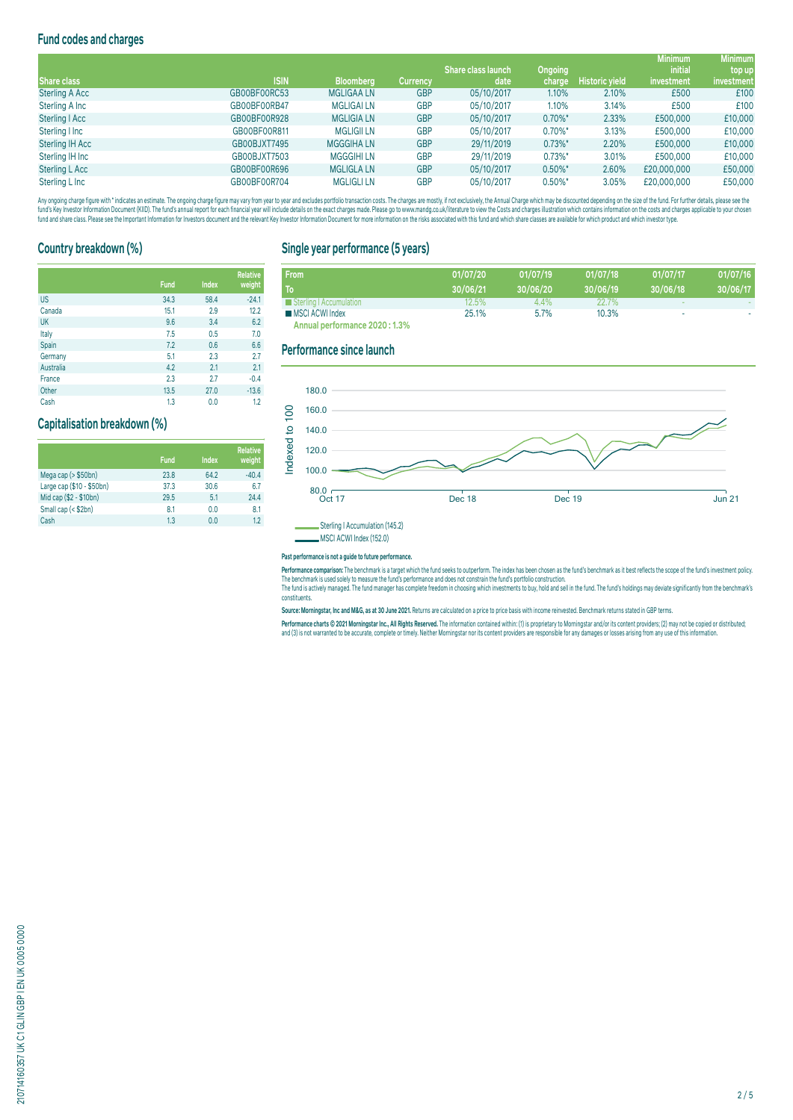## **Fund codes and charges**

|                        |              |                   |                 |                           |                |                       | <b>Minimum</b> | <b>Minimum</b> |
|------------------------|--------------|-------------------|-----------------|---------------------------|----------------|-----------------------|----------------|----------------|
|                        |              |                   |                 | <b>Share class launch</b> | <b>Ongoing</b> |                       | <i>initial</i> | top up         |
| Share class            | <b>ISIN</b>  | <b>Bloomberg</b>  | <b>Currency</b> | date                      | charge         | <b>Historic yield</b> | investment     | investment     |
| <b>Sterling A Acc</b>  | GB00BF00RC53 | <b>MGLIGAALN</b>  | <b>GBP</b>      | 05/10/2017                | 1.10%          | 2.10%                 | £500           | £100           |
| Sterling A Inc         | GB00BF00RB47 | <b>MGLIGAI LN</b> | <b>GBP</b>      | 05/10/2017                | 1.10%          | 3.14%                 | £500           | £100           |
| Sterling   Acc         | GB00BF00R928 | <b>MGLIGIA LN</b> | <b>GBP</b>      | 05/10/2017                | $0.70\%$ *     | 2.33%                 | £500,000       | £10,000        |
| Sterling I Inc         | GB00BF00R811 | <b>MGLIGII LN</b> | <b>GBP</b>      | 05/10/2017                | $0.70\%$ *     | 3.13%                 | £500,000       | £10,000        |
| <b>Sterling IH Acc</b> | GB00BJXT7495 | <b>MGGGIHALN</b>  | <b>GBP</b>      | 29/11/2019                | $0.73\%$ *     | 2.20%                 | £500,000       | £10,000        |
| Sterling IH Inc        | GB00BJXT7503 | <b>MGGGIHILN</b>  | <b>GBP</b>      | 29/11/2019                | $0.73\%$ *     | 3.01%                 | £500,000       | £10,000        |
| Sterling L Acc         | GB00BF00R696 | <b>MGLIGLA LN</b> | <b>GBP</b>      | 05/10/2017                | $0.50\%$ *     | 2.60%                 | £20,000,000    | £50,000        |
| Sterling L Inc         | GB00BF00R704 | <b>MGLIGLI LN</b> | <b>GBP</b>      | 05/10/2017                | $0.50\%$ *     | 3.05%                 | £20,000,000    | £50,000        |

Any organism and the man and the manual memory and the manual way to my express that exact on the state of the state of the state of the state of the state of the state of the state of the state of the state of the state o fund and share class. Please see the Important Information for Investors document and the relevant Key Investor Information Document for more information on the risks associated with this fund and which share classes are a

## **Country breakdown (%)**

|           | <b>Fund</b> | Index | <b>Relative</b><br>weight |
|-----------|-------------|-------|---------------------------|
| <b>US</b> | 34.3        | 58.4  | $-24.1$                   |
| Canada    | 15.1        | 2.9   | 12.2                      |
| <b>UK</b> | 9.6         | 3.4   | 6.2                       |
| Italy     | 7.5         | 0.5   | 7.0                       |
| Spain     | 7.2         | 0.6   | 6.6                       |
| Germany   | 5.1         | 2.3   | 2.7                       |
| Australia | 4.2         | 2.1   | 2.1                       |
| France    | 2.3         | 2.7   | $-0.4$                    |
| Other     | 13.5        | 27.0  | $-13.6$                   |
| Cash      | 1.3         | 0.0   | 1.2                       |

#### **Capitalisation breakdown (%)**

|                           | <b>Fund</b> | Index | <b>Relative</b><br>weight |
|---------------------------|-------------|-------|---------------------------|
| Mega cap (> \$50bn)       | 23.8        | 64.2  | $-40.4$                   |
| Large cap (\$10 - \$50bn) | 37.3        | 30.6  | 6.7                       |
| Mid cap (\$2 - \$10bn)    | 29.5        | 5.1   | 24.4                      |
| Small cap (< \$2bn)       | 8.1         | 0.0   | 8.1                       |
| Cash                      | 1.3         | 0.0   | 12                        |

## **Single year performance (5 years)**

| <b>From</b>                    | 01/07/20 | 01/07/19 | 01/07/18     | 01/07/17 | 01/07/16 |
|--------------------------------|----------|----------|--------------|----------|----------|
| To                             | 30/06/21 | 30/06/20 | 30/06/19     | 30/06/18 | 30/06/17 |
| Sterling   Accumulation        | 12.5%    | $4.4\%$  | <b>22.7%</b> |          |          |
| MSCI ACWI Index                | 25.1%    | 5.7%     | 10.3%        | ۰        |          |
| Annual performance 2020 : 1.3% |          |          |              |          |          |

#### **Performance since launch**



MSCI ACWI Index (152.0)

#### **Past performance is not a guide to future performance.**

**Performance comparison:** The benchmark is a target which the fund seeks to outperform. The index has been chosen as the fund's benchmark as it best reflects the scope of the fund's investment policy. The benchmark is used solely to measure the fund's performance and does not constrain the fund's portfolio construction.

The fund is actively managed. The fund manager has complete freedom in choosing which investments to buy, hold and sell in the fund. The fund's holdings may deviate significantly from the benchmark's constituents.

**Source: Morningstar, Inc and M&G, as at 30 June 2021.** Returns are calculated on a price to price basis with income reinvested. Benchmark returns stated in GBP terms.

Performance charts © 2021 Morningstar Inc., All Rights Reserved. The information contained within: (1) is proprietary to Morningstar and/or its content providers; (2) may not be copied or distributed; and (3) is not warranted to be accurate, complete or timely. Neither Morningstar nor its content providers are responsible for any damages or losses arising from any use of this information.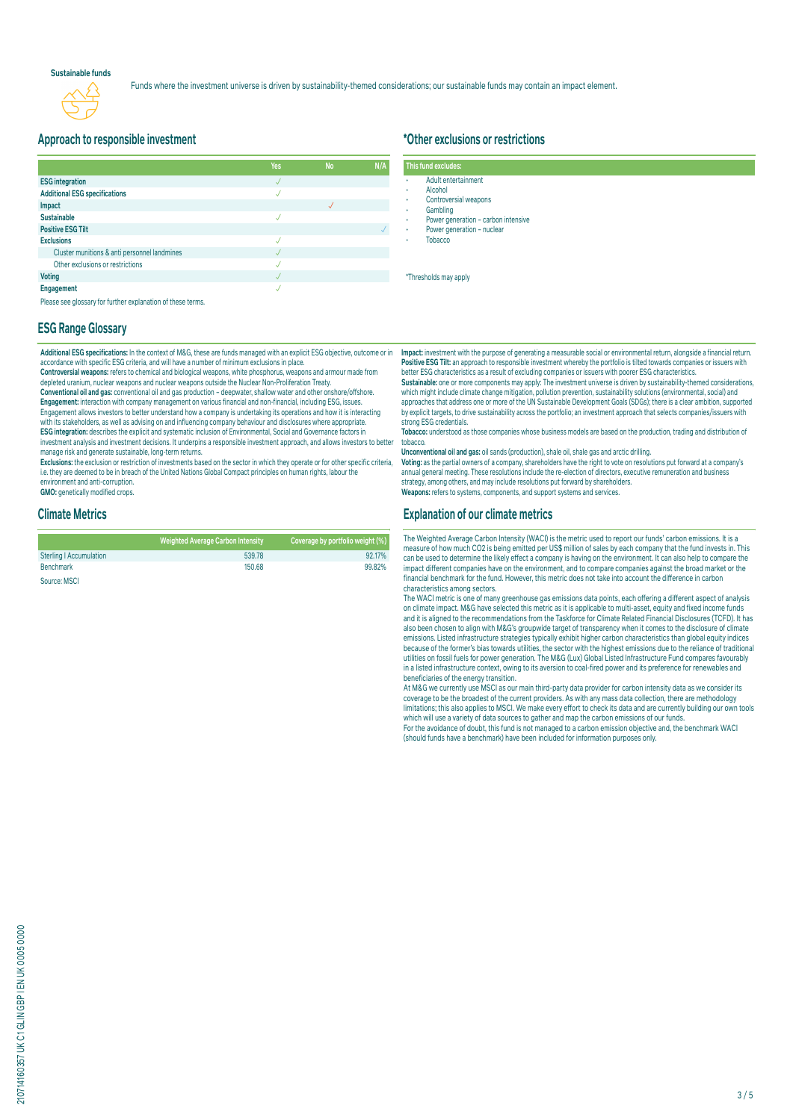#### **Sustainable funds**



Funds where the investment universe is driven by sustainability-themed considerations; our sustainable funds may contain an impact element.

### **Approach to responsible investment**

|                                                             | Yes | <b>No</b> | N/A |
|-------------------------------------------------------------|-----|-----------|-----|
| <b>ESG</b> integration                                      |     |           |     |
| <b>Additional ESG specifications</b>                        | J   |           |     |
| Impact                                                      |     |           |     |
| <b>Sustainable</b>                                          |     |           |     |
| <b>Positive ESG Tilt</b>                                    |     |           |     |
| <b>Exclusions</b>                                           |     |           |     |
| Cluster munitions & anti personnel landmines                |     |           |     |
| Other exclusions or restrictions                            |     |           |     |
| <b>Voting</b>                                               |     |           |     |
| Engagement                                                  |     |           |     |
| Please see glossary for further explanation of these terms. |     |           |     |

#### **ESG Range Glossary**

**Additional ESG specifications:** In the context of M&G, these are funds managed with an explicit ESG objective, outcome or in accordance with specific ESG criteria, and will have a number of minimum exclusions in place.

**Controversial weapons:** refers to chemical and biological weapons, white phosphorus, weapons and armour made from depleted uranium, nuclear weapons and nuclear weapons outside the Nuclear Non-Proliferation Treaty.

**Conventional oil and gas:** conventional oil and gas production – deepwater, shallow water and other onshore/offshore. **Engagement:** interaction with company management on various financial and non-financial, including ESG, issues. Engagement allows investors to better understand how a company is undertaking its operations and how it is interacting with its stakeholders, as well as advising on and influencing company behaviour and disclosures where appropriate. **ESG integration:** describes the explicit and systematic inclusion of Environmental, Social and Governance factors in investment analysis and investment decisions. It underpins a responsible investment approach, and allows investors to better manage risk and generate sustainable, long-term returns.

**Exclusions:** the exclusion or restriction of investments based on the sector in which they operate or for other specific criteria, i.e. they are deemed to be in breach of the United Nations Global Compact principles on human rights, labour the environment and anti-corruption.

**GMO:** genetically modified crops.

#### **Climate Metrics**

|                                | <b>Weighted Average Carbon Intensity</b> | Coverage by portfolio weight (%) |
|--------------------------------|------------------------------------------|----------------------------------|
| <b>Sterling   Accumulation</b> | 539.78                                   | 92.17%                           |
| <b>Benchmark</b>               | 150.68                                   | 99.82%                           |
| Source: MSCI                   |                                          |                                  |

## **\*Other exclusions or restrictions**

| This fund excludes: |                                     |
|---------------------|-------------------------------------|
| ٠                   | Adult entertainment                 |
| ٠                   | Alcohol                             |
| $\bullet$           | Controversial weapons               |
| ٠                   | Gambling                            |
| ٠                   | Power generation - carbon intensive |
| ٠                   | Power generation - nuclear          |
| ٠                   | <b>Tobacco</b>                      |
|                     |                                     |

\*Thresholds may apply

**Impact:** investment with the purpose of generating a measurable social or environmental return, alongside a financial return. **Positive ESG Tilt:** an approach to responsible investment whereby the portfolio is tilted towards companies or issuers with better ESG characteristics as a result of excluding companies or issuers with poorer ESG characteristics.

**Sustainable:** one or more components may apply: The investment universe is driven by sustainability-themed considerations,<br>which might include climate change mitigation, pollution prevention, sustainability solutions (env approaches that address one or more of the UN Sustainable Development Goals (SDGs); there is a clear ambition, supported by explicit targets, to drive sustainability across the portfolio; an investment approach that selects companies/issuers with strong ESG credentials.

**Tobacco:** understood as those companies whose business models are based on the production, trading and distribution of tobacco.

**Unconventional oil and gas:** oil sands (production), shale oil, shale gas and arctic drilling.

**Voting:** as the partial owners of a company, shareholders have the right to vote on resolutions put forward at a company's annual general meeting. These resolutions include the re-election of directors, executive remuneration and business strategy, among others, and may include resolutions put forward by shareholders. **Weapons:** refers to systems, components, and support systems and services.

#### **Explanation of our climate metrics**

The Weighted Average Carbon Intensity (WACI) is the metric used to report our funds' carbon emissions. It is a measure of how much CO2 is being emitted per US\$ million of sales by each company that the fund invests in. This can be used to determine the likely effect a company is having on the environment. It can also help to compare the impact different companies have on the environment, and to compare companies against the broad market or the financial benchmark for the fund. However, this metric does not take into account the difference in carbon characteristics among sectors.

The WACI metric is one of many greenhouse gas emissions data points, each offering a different aspect of analysis on climate impact. M&G have selected this metric as it is applicable to multi-asset, equity and fixed income funds and it is aligned to the recommendations from the Taskforce for Climate Related Financial Disclosures (TCFD). It has also been chosen to align with M&G's groupwide target of transparency when it comes to the disclosure of climate emissions. Listed infrastructure strategies typically exhibit higher carbon characteristics than global equity indices because of the former's bias towards utilities, the sector with the highest emissions due to the reliance of traditional<br>utilities on fossil fuels for power generation. The M&G (Lux) Global Listed Infrastructure Fund compa in a listed infrastructure context, owing to its aversion to coal-fired power and its preference for renewables and beneficiaries of the energy transition.

At M&G we currently use MSCI as our main third-party data provider for carbon intensity data as we consider its coverage to be the broadest of the current providers. As with any mass data collection, there are methodology limitations; this also applies to MSCI. We make every effort to check its data and are currently building our own tools which will use a variety of data sources to gather and map the carbon emissions of our funds. For the avoidance of doubt, this fund is not managed to a carbon emission objective and, the benchmark WACI

(should funds have a benchmark) have been included for information purposes only.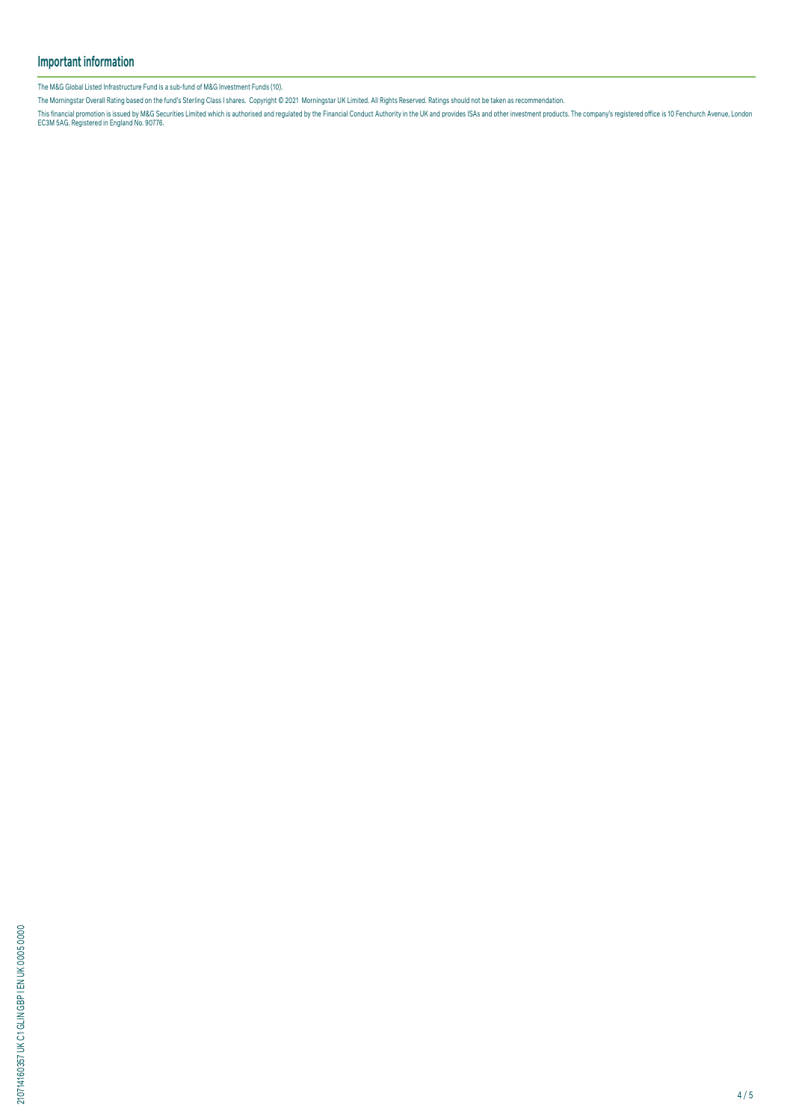## **Important information**

The M&G Global Listed Infrastructure Fund is a sub-fund of M&G Investment Funds (10).

The Morningstar Overall Rating based on the fund's Sterling Class I shares. Copyright © 2021 Morningstar UK Limited. All Rights Reserved. Ratings should not be taken as recommendation.

This financial promotion is issued by M&G Securities Limited which is authorised and regulated by the Financial Conduct Authority in the UK and provides ISAs and other investment products. The company's registered office i

210714160357 UK C1 GLIN GBP I EN UK 0005 0000 210714160357 UK C1 GLIN GBP I EN UK 0005 0000